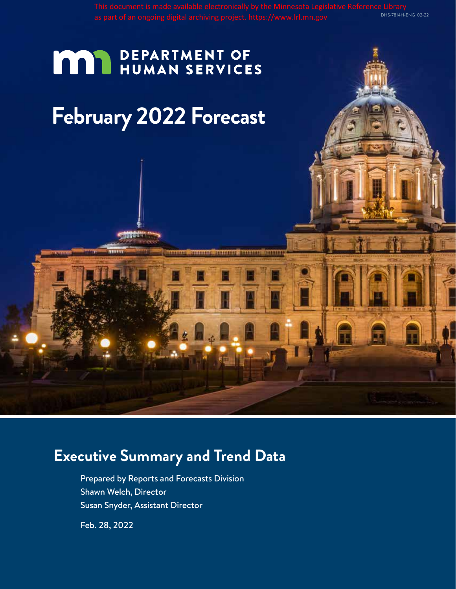# **MAY DEPARTMENT OF HUMAN SERVICES**

# **February 2022 Forecast**

**Minist** 

# **Executive Summary and Trend Data**

Prepared by Reports and Forecasts Division Shawn Welch, Director Susan Snyder, Assistant Director

Feb. 28, 2022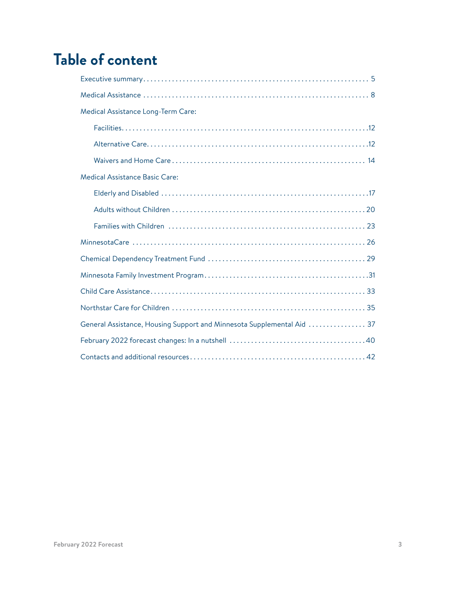# **Table of content**

| Medical Assistance Long-Term Care:                                     |
|------------------------------------------------------------------------|
|                                                                        |
|                                                                        |
|                                                                        |
| <b>Medical Assistance Basic Care:</b>                                  |
|                                                                        |
|                                                                        |
|                                                                        |
|                                                                        |
|                                                                        |
|                                                                        |
|                                                                        |
|                                                                        |
| General Assistance, Housing Support and Minnesota Supplemental Aid  37 |
|                                                                        |
|                                                                        |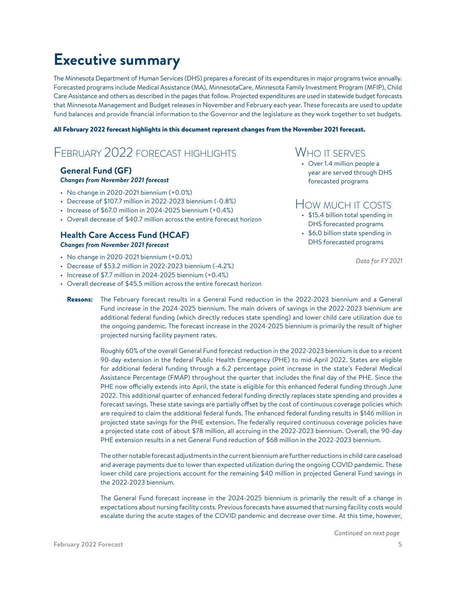# <span id="page-4-0"></span>**Executive summary**

The Minnesota Department of Human Services (DHS) prepares a forecast of its expenditures in major programs twice annually. Forecasted programs include Medical Assistance (MA), MinnesotaCare, Minnesota Family Investment Program (MFIP), Child Care Assistance and others as described in the pages that follow. Projected expenditures are used in statewide budget forecasts that Minnesota Management and Budget releases in November and February each year. These forecasts are used to update fund balances and provide financial information to the Governor and the legislature as they work together to set budgets.

#### All February 2022 forecast highlights in this document represent changes from the November 2021 forecast.

### February 2022 forecast highlights

#### **General Fund (GF)** *Changes from November 2021 forecast*

- 
- $\cdot$  No change in 2020-2021 biennium  $(+0.0\%)$
- Decrease of \$107.7 million in 2022-2023 biennium (-0.8%)
- Increase of  $$67.0$  million in 2024-2025 biennium  $(+0.4%)$
- Overall decrease of \$40.7 million across the entire forecast horizon

#### **Health Care Access Fund (HCAF)** *Changes from November 2021 forecast*

- $\cdot$  No change in 2020-2021 biennium  $(+0.0\%)$
- Decrease of \$53.2 million in 2022-2023 biennium (-4.2%)
- Increase of \$7.7 million in 2024-2025 biennium (+0.4%)
- Overall decrease of \$45.5 million across the entire forecast horizon

### WHO IT SERVES

• Over 1.4 million people a year are served through DHS forecasted programs

### How much it costs

- \$15.4 billion total spending in DHS forecasted programs
- \$6.0 billion state spending in DHS forecasted programs

*Data for FY 2021*

Reasons: The February forecast results in a General Fund reduction in the 2022-2023 biennium and a General Fund increase in the 2024-2025 biennium. The main drivers of savings in the 2022-2023 biennium are additional federal funding (which directly reduces state spending) and lower child care utilization due to the ongoing pandemic. The forecast increase in the 2024-2025 biennium is primarily the result of higher projected nursing facility payment rates.

Roughly 60% of the overall General Fund forecast reduction in the 2022-2023 biennium is due to a recent 90-day extension in the federal Public Health Emergency (PHE) to mid-April 2022. States are eligible for additional federal funding through a 6.2 percentage point increase in the state's Federal Medical Assistance Percentage (FMAP) throughout the quarter that includes the final day of the PHE. Since the PHE now officially extends into April, the state is eligible for this enhanced federal funding through June 2022. This additional quarter of enhanced federal funding directly replaces state spending and provides a forecast savings. These state savings are partially offset by the cost of continuous coverage policies which are required to claim the additional federal funds. The enhanced federal funding results in \$146 million in projected state savings for the PHE extension. The federally required continuous coverage policies have a projected state cost of about \$78 million, all accruing in the 2022-2023 biennium. Overall, the 90-day PHE extension results in a net General Fund reduction of \$68 million in the 2022-2023 biennium.

The other notable forecast adjustments in the current biennium are further reductions in child care caseload and average payments due to lower than expected utilization during the ongoing COVID pandemic. These lower child care projections account for the remaining \$40 million in projected General Fund savings in the 2022-2023 biennium.

The General Fund forecast increase in the 2024-2025 biennium is primarily the result of a change in expectations about nursing facility costs. Previous forecasts have assumed that nursing facility costs would escalate during the acute stages of the COVID pandemic and decrease over time. At this time, however,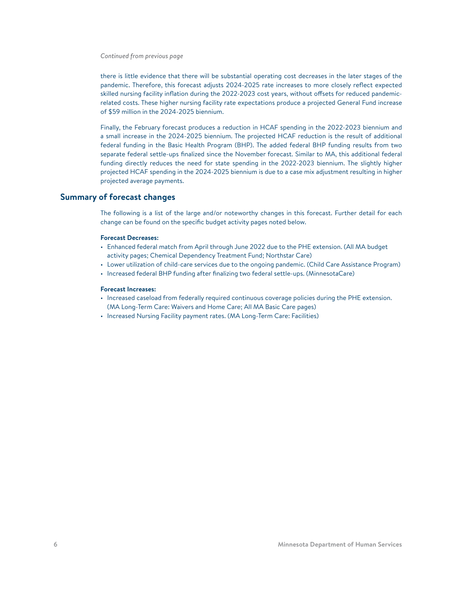*Continued from previous page*

there is little evidence that there will be substantial operating cost decreases in the later stages of the pandemic. Therefore, this forecast adjusts 2024-2025 rate increases to more closely reflect expected skilled nursing facility inflation during the 2022-2023 cost years, without offsets for reduced pandemicrelated costs. These higher nursing facility rate expectations produce a projected General Fund increase of \$59 million in the 2024-2025 biennium.

Finally, the February forecast produces a reduction in HCAF spending in the 2022-2023 biennium and a small increase in the 2024-2025 biennium. The projected HCAF reduction is the result of additional federal funding in the Basic Health Program (BHP). The added federal BHP funding results from two separate federal settle-ups finalized since the November forecast. Similar to MA, this additional federal funding directly reduces the need for state spending in the 2022-2023 biennium. The slightly higher projected HCAF spending in the 2024-2025 biennium is due to a case mix adjustment resulting in higher projected average payments.

#### **Summary of forecast changes**

The following is a list of the large and/or noteworthy changes in this forecast. Further detail for each change can be found on the specific budget activity pages noted below.

#### **Forecast Decreases:**

- Enhanced federal match from April through June 2022 due to the PHE extension. (All MA budget activity pages; Chemical Dependency Treatment Fund; Northstar Care)
- Lower utilization of child-care services due to the ongoing pandemic. (Child Care Assistance Program)
- Increased federal BHP funding after finalizing two federal settle-ups. (MinnesotaCare)

#### **Forecast Increases:**

- Increased caseload from federally required continuous coverage policies during the PHE extension. (MA Long-Term Care: Waivers and Home Care; All MA Basic Care pages)
- Increased Nursing Facility payment rates. (MA Long-Term Care: Facilities)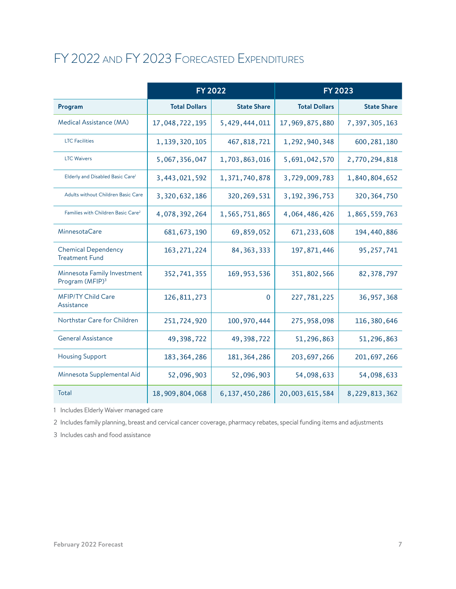### FY 2022 and FY 2023 Forecasted Expenditures

|                                                            | <b>FY 2022</b>       |                    | <b>FY 2023</b>       |                    |
|------------------------------------------------------------|----------------------|--------------------|----------------------|--------------------|
| Program                                                    | <b>Total Dollars</b> | <b>State Share</b> | <b>Total Dollars</b> | <b>State Share</b> |
| Medical Assistance (MA)                                    | 17,048,722,195       | 5,429,444,011      | 17,969,875,880       | 7,397,305,163      |
| <b>LTC</b> Facilities                                      | 1,139,320,105        | 467,818,721        | 1,292,940,348        | 600, 281, 180      |
| <b>LTC Waivers</b>                                         | 5,067,356,047        | 1,703,863,016      | 5,691,042,570        | 2,770,294,818      |
| Elderly and Disabled Basic Care <sup>1</sup>               | 3,443,021,592        | 1,371,740,878      | 3,729,009,783        | 1,840,804,652      |
| Adults without Children Basic Care                         | 3,320,632,186        | 320, 269, 531      | 3, 192, 396, 753     | 320, 364, 750      |
| Families with Children Basic Care <sup>2</sup>             | 4,078,392,264        | 1,565,751,865      | 4,064,486,426        | 1,865,559,763      |
| MinnesotaCare                                              | 681, 673, 190        | 69,859,052         | 671, 233, 608        | 194,440,886        |
| <b>Chemical Dependency</b><br><b>Treatment Fund</b>        | 163, 271, 224        | 84, 363, 333       | 197,871,446          | 95, 257, 741       |
| Minnesota Family Investment<br>Program (MFIP) <sup>3</sup> | 352,741,355          | 169, 953, 536      | 351,802,566          | 82, 378, 797       |
| <b>MFIP/TY Child Care</b><br>Assistance                    | 126, 811, 273        | $\mathbf 0$        | 227,781,225          | 36, 957, 368       |
| Northstar Care for Children                                | 251,724,920          | 100,970,444        | 275,958,098          | 116,380,646        |
| <b>General Assistance</b>                                  | 49,398,722           | 49,398,722         | 51,296,863           | 51,296,863         |
| <b>Housing Support</b>                                     | 183, 364, 286        | 181, 364, 286      | 203, 697, 266        | 201, 697, 266      |
| Minnesota Supplemental Aid                                 | 52,096,903           | 52,096,903         | 54,098,633           | 54,098,633         |
| Total                                                      | 18,909,804,068       | 6,137,450,286      | 20,003,615,584       | 8,229,813,362      |

1 Includes Elderly Waiver managed care

2 Includes family planning, breast and cervical cancer coverage, pharmacy rebates, special funding items and adjustments

3 Includes cash and food assistance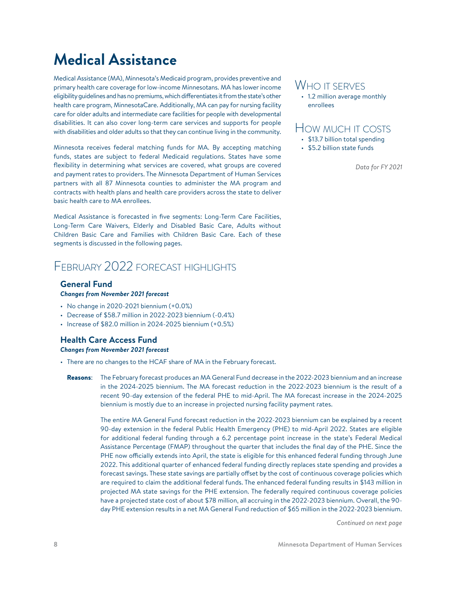# <span id="page-7-0"></span>**Medical Assistance**

Medical Assistance (MA), Minnesota's Medicaid program, provides preventive and primary health care coverage for low-income Minnesotans. MA has lower income eligibility guidelines and has no premiums, which differentiates it from the state's other health care program, MinnesotaCare. Additionally, MA can pay for nursing facility care for older adults and intermediate care facilities for people with developmental disabilities. It can also cover long-term care services and supports for people with disabilities and older adults so that they can continue living in the community.

Minnesota receives federal matching funds for MA. By accepting matching funds, states are subject to federal Medicaid regulations. States have some flexibility in determining what services are covered, what groups are covered and payment rates to providers. The Minnesota Department of Human Services partners with all 87 Minnesota counties to administer the MA program and contracts with health plans and health care providers across the state to deliver basic health care to MA enrollees.

Medical Assistance is forecasted in five segments: Long-Term Care Facilities, Long-Term Care Waivers, Elderly and Disabled Basic Care, Adults without Children Basic Care and Families with Children Basic Care. Each of these segments is discussed in the following pages.

### February 2022 forecast highlights

#### **General Fund**

#### *Changes from November 2021 forecast*

- $\cdot$  No change in 2020-2021 biennium  $(+0.0\%)$
- Decrease of \$58.7 million in 2022-2023 biennium (-0.4%)
- Increase of \$82.0 million in 2024-2025 biennium (+0.5%)

#### **Health Care Access Fund** *Changes from November 2021 forecast*

- There are no changes to the HCAF share of MA in the February forecast.
	- Reasons: The February forecast produces an MA General Fund decrease in the 2022-2023 biennium and an increase in the 2024-2025 biennium. The MA forecast reduction in the 2022-2023 biennium is the result of a recent 90-day extension of the federal PHE to mid-April. The MA forecast increase in the 2024-2025 biennium is mostly due to an increase in projected nursing facility payment rates.

The entire MA General Fund forecast reduction in the 2022-2023 biennium can be explained by a recent 90-day extension in the federal Public Health Emergency (PHE) to mid-April 2022. States are eligible for additional federal funding through a 6.2 percentage point increase in the state's Federal Medical Assistance Percentage (FMAP) throughout the quarter that includes the final day of the PHE. Since the PHE now officially extends into April, the state is eligible for this enhanced federal funding through June 2022. This additional quarter of enhanced federal funding directly replaces state spending and provides a forecast savings. These state savings are partially offset by the cost of continuous coverage policies which are required to claim the additional federal funds. The enhanced federal funding results in \$143 million in projected MA state savings for the PHE extension. The federally required continuous coverage policies have a projected state cost of about \$78 million, all accruing in the 2022-2023 biennium. Overall, the 90 day PHE extension results in a net MA General Fund reduction of \$65 million in the 2022-2023 biennium.

*Continued on next page*

### WHO IT SERVES

• 1.2 million average monthly enrollees

### How much it costs

- \$13.7 billion total spending
- \$5.2 billion state funds

*Data for FY 2021*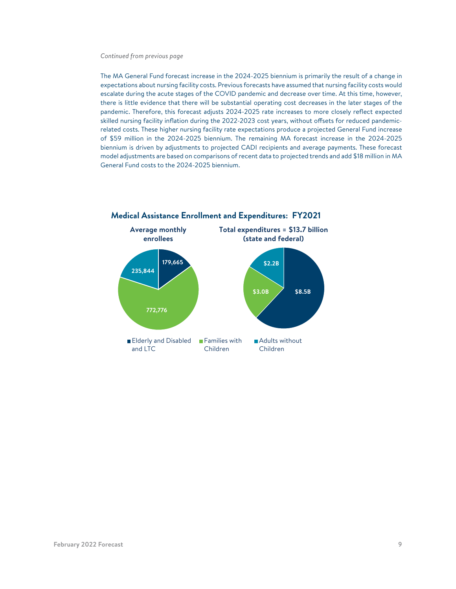#### *Continued from previous page*

The MA General Fund forecast increase in the 2024-2025 biennium is primarily the result of a change in expectations about nursing facility costs. Previous forecasts have assumed that nursing facility costs would escalate during the acute stages of the COVID pandemic and decrease over time. At this time, however, there is little evidence that there will be substantial operating cost decreases in the later stages of the pandemic. Therefore, this forecast adjusts 2024-2025 rate increases to more closely reflect expected skilled nursing facility inflation during the 2022-2023 cost years, without offsets for reduced pandemicrelated costs. These higher nursing facility rate expectations produce a projected General Fund increase of \$59 million in the 2024-2025 biennium. The remaining MA forecast increase in the 2024-2025 biennium is driven by adjustments to projected CADI recipients and average payments. These forecast model adjustments are based on comparisons of recent data to projected trends and add \$18 million in MA General Fund costs to the 2024-2025 biennium.

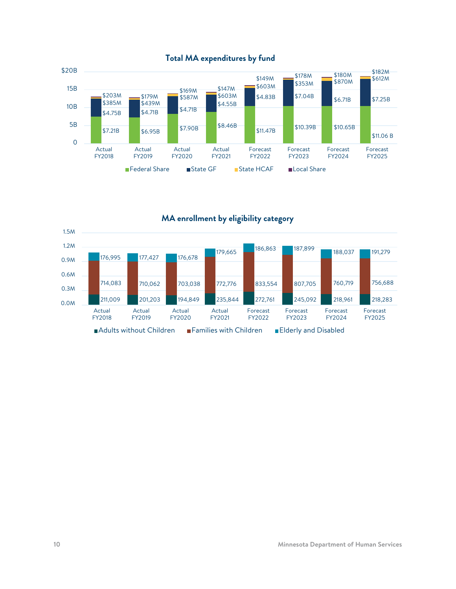

**MA enrollment by eligibility category**

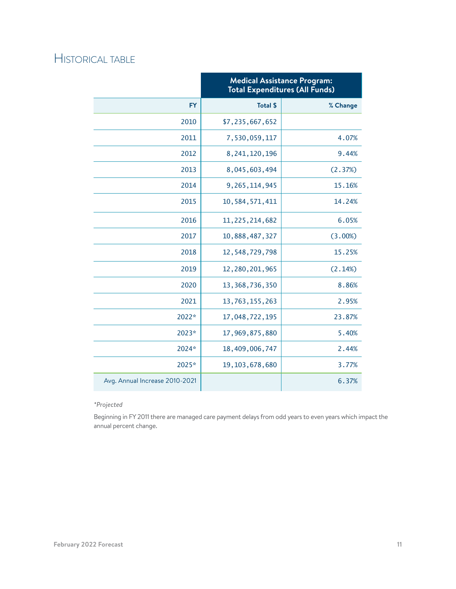|                                | <b>Medical Assistance Program:</b><br><b>Total Expenditures (All Funds)</b> |          |  |
|--------------------------------|-----------------------------------------------------------------------------|----------|--|
| <b>FY</b>                      | <b>Total \$</b>                                                             | % Change |  |
| 2010                           | \$7,235,667,652                                                             |          |  |
| 2011                           | 7,530,059,117                                                               | 4.07%    |  |
| 2012                           | 8, 241, 120, 196                                                            | 9.44%    |  |
| 2013                           | 8,045,603,494                                                               | (2.37%)  |  |
| 2014                           | 9, 265, 114, 945                                                            | 15.16%   |  |
| 2015                           | 10,584,571,411                                                              | 14.24%   |  |
| 2016                           | 11, 225, 214, 682                                                           | 6.05%    |  |
| 2017                           | 10,888,487,327                                                              | (3.00%)  |  |
| 2018                           | 12,548,729,798                                                              | 15.25%   |  |
| 2019                           | 12,280,201,965                                                              | (2.14%)  |  |
| 2020                           | 13, 368, 736, 350                                                           | 8.86%    |  |
| 2021                           | 13,763,155,263                                                              | 2.95%    |  |
| 2022*                          | 17,048,722,195                                                              | 23.87%   |  |
| 2023*                          | 17,969,875,880                                                              | 5.40%    |  |
| 2024*                          | 18,409,006,747                                                              | 2.44%    |  |
| 2025*                          | 19, 103, 678, 680                                                           | 3.77%    |  |
| Avg. Annual Increase 2010-2021 |                                                                             | 6.37%    |  |

#### *\*Projected*

Beginning in FY 2011 there are managed care payment delays from odd years to even years which impact the annual percent change.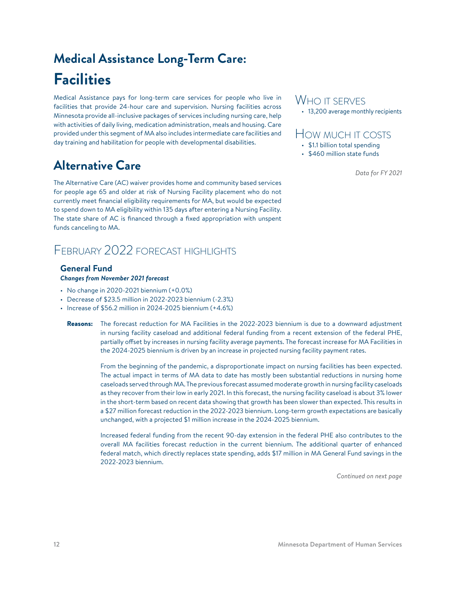# <span id="page-11-0"></span>**Medical Assistance Long-Term Care: Facilities**

Medical Assistance pays for long-term care services for people who live in facilities that provide 24-hour care and supervision. Nursing facilities across Minnesota provide all-inclusive packages of services including nursing care, help with activities of daily living, medication administration, meals and housing. Care provided under this segment of MA also includes intermediate care facilities and day training and habilitation for people with developmental disabilities.

### **Alternative Care**

The Alternative Care (AC) waiver provides home and community based services for people age 65 and older at risk of Nursing Facility placement who do not currently meet financial eligibility requirements for MA, but would be expected to spend down to MA eligibility within 135 days after entering a Nursing Facility. The state share of AC is financed through a fixed appropriation with unspent funds canceling to MA.

### February 2022 forecast highlights

#### **General Fund** *Changes from November 2021 forecast*

- $\cdot$  No change in 2020-2021 biennium  $(+0.0\%)$
- Decrease of \$23.5 million in 2022-2023 biennium (-2.3%)
- Increase of  $$56.2$  million in 2024-2025 biennium  $(+4.6%)$

### WHO IT SERVES

• 13,200 average monthly recipients

### How much it costs

- \$1.1 billion total spending
- \$460 million state funds

*Data for FY 2021*

Reasons: The forecast reduction for MA Facilities in the 2022-2023 biennium is due to a downward adjustment in nursing facility caseload and additional federal funding from a recent extension of the federal PHE, partially offset by increases in nursing facility average payments. The forecast increase for MA Facilities in the 2024-2025 biennium is driven by an increase in projected nursing facility payment rates.

From the beginning of the pandemic, a disproportionate impact on nursing facilities has been expected. The actual impact in terms of MA data to date has mostly been substantial reductions in nursing home caseloads served through MA. The previous forecast assumed moderate growth in nursing facility caseloads as they recover from their low in early 2021. In this forecast, the nursing facility caseload is about 3% lower in the short-term based on recent data showing that growth has been slower than expected. This results in a \$27 million forecast reduction in the 2022-2023 biennium. Long-term growth expectations are basically unchanged, with a projected \$1 million increase in the 2024-2025 biennium.

Increased federal funding from the recent 90-day extension in the federal PHE also contributes to the overall MA facilities forecast reduction in the current biennium. The additional quarter of enhanced federal match, which directly replaces state spending, adds \$17 million in MA General Fund savings in the 2022-2023 biennium.

*Continued on next page*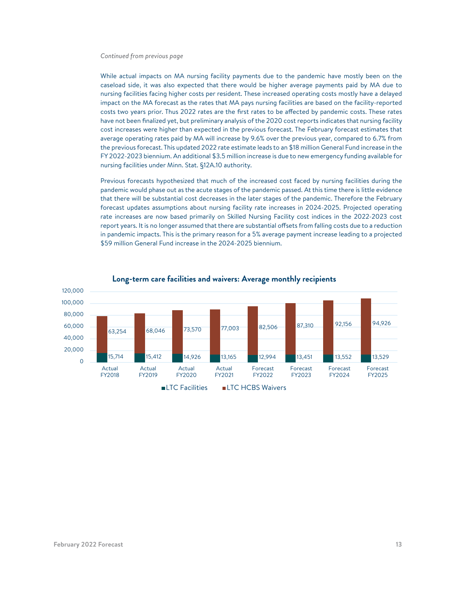#### *Continued from previous page*

While actual impacts on MA nursing facility payments due to the pandemic have mostly been on the caseload side, it was also expected that there would be higher average payments paid by MA due to nursing facilities facing higher costs per resident. These increased operating costs mostly have a delayed impact on the MA forecast as the rates that MA pays nursing facilities are based on the facility-reported costs two years prior. Thus 2022 rates are the first rates to be affected by pandemic costs. These rates have not been finalized yet, but preliminary analysis of the 2020 cost reports indicates that nursing facility cost increases were higher than expected in the previous forecast. The February forecast estimates that average operating rates paid by MA will increase by 9.6% over the previous year, compared to 6.7% from the previous forecast. This updated 2022 rate estimate leads to an \$18 million General Fund increase in the FY 2022-2023 biennium. An additional \$3.5 million increase is due to new emergency funding available for nursing facilities under Minn. Stat. §12A.10 authority.

Previous forecasts hypothesized that much of the increased cost faced by nursing facilities during the pandemic would phase out as the acute stages of the pandemic passed. At this time there is little evidence that there will be substantial cost decreases in the later stages of the pandemic. Therefore the February forecast updates assumptions about nursing facility rate increases in 2024-2025. Projected operating rate increases are now based primarily on Skilled Nursing Facility cost indices in the 2022-2023 cost report years. It is no longer assumed that there are substantial offsets from falling costs due to a reduction in pandemic impacts. This is the primary reason for a 5% average payment increase leading to a projected \$59 million General Fund increase in the 2024-2025 biennium.



#### **Long-term care facilities and waivers: Average monthly recipients**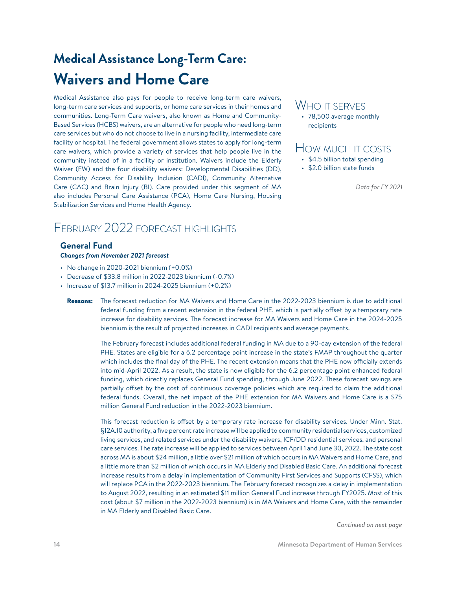# <span id="page-13-0"></span>**Medical Assistance Long-Term Care: Waivers and Home Care**

Medical Assistance also pays for people to receive long-term care waivers, long-term care services and supports, or home care services in their homes and communities. Long-Term Care waivers, also known as Home and Community-Based Services (HCBS) waivers, are an alternative for people who need long-term care services but who do not choose to live in a nursing facility, intermediate care facility or hospital. The federal government allows states to apply for long-term care waivers, which provide a variety of services that help people live in the community instead of in a facility or institution. Waivers include the Elderly Waiver (EW) and the four disability waivers: Developmental Disabilities (DD), Community Access for Disability Inclusion (CADI), Community Alternative Care (CAC) and Brain Injury (BI). Care provided under this segment of MA also includes Personal Care Assistance (PCA), Home Care Nursing, Housing Stabilization Services and Home Health Agency.

### FFBRUARY 2022 FORECAST HIGHLIGHTS

#### **General Fund** *Changes from November 2021 forecast*

- $\cdot$  No change in 2020-2021 biennium  $(+0.0\%)$
- Decrease of \$33.8 million in 2022-2023 biennium (-0.7%)
- Increase of \$13.7 million in 2024-2025 biennium (+0.2%)

### WHO IT SERVES

• 78,500 average monthly recipients

### How much it costs

- \$4.5 billion total spending
- \$2.0 billion state funds

*Data for FY 2021*

Reasons: The forecast reduction for MA Waivers and Home Care in the 2022-2023 biennium is due to additional federal funding from a recent extension in the federal PHE, which is partially offset by a temporary rate increase for disability services. The forecast increase for MA Waivers and Home Care in the 2024-2025 biennium is the result of projected increases in CADI recipients and average payments.

The February forecast includes additional federal funding in MA due to a 90-day extension of the federal PHE. States are eligible for a 6.2 percentage point increase in the state's FMAP throughout the quarter which includes the final day of the PHE. The recent extension means that the PHE now officially extends into mid-April 2022. As a result, the state is now eligible for the 6.2 percentage point enhanced federal funding, which directly replaces General Fund spending, through June 2022. These forecast savings are partially offset by the cost of continuous coverage policies which are required to claim the additional federal funds. Overall, the net impact of the PHE extension for MA Waivers and Home Care is a \$75 million General Fund reduction in the 2022-2023 biennium.

This forecast reduction is offset by a temporary rate increase for disability services. Under Minn. Stat. §12A.10 authority, a five percent rate increase will be applied to community residential services, customized living services, and related services under the disability waivers, ICF/DD residential services, and personal care services. The rate increase will be applied to services between April 1 and June 30, 2022. The state cost across MA is about \$24 million, a little over \$21 million of which occurs in MA Waivers and Home Care, and a little more than \$2 million of which occurs in MA Elderly and Disabled Basic Care. An additional forecast increase results from a delay in implementation of Community First Services and Supports (CFSS), which will replace PCA in the 2022-2023 biennium. The February forecast recognizes a delay in implementation to August 2022, resulting in an estimated \$11 million General Fund increase through FY2025. Most of this cost (about \$7 million in the 2022-2023 biennium) is in MA Waivers and Home Care, with the remainder in MA Elderly and Disabled Basic Care.

*Continued on next page*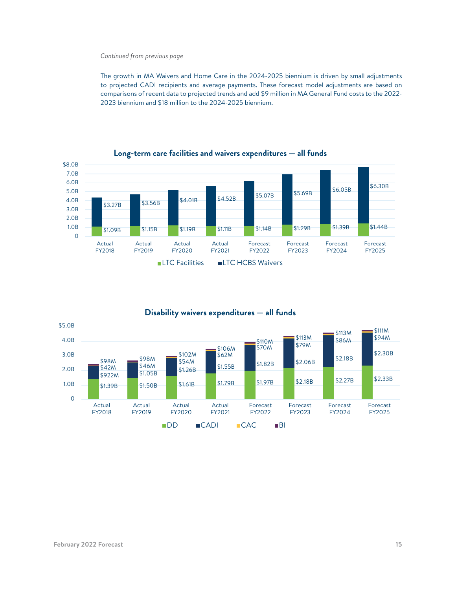#### *Continued from previous page*

The growth in MA Waivers and Home Care in the 2024-2025 biennium is driven by small adjustments to projected CADI recipients and average payments. These forecast model adjustments are based on comparisons of recent data to projected trends and add \$9 million in MA General Fund costs to the 2022- 2023 biennium and \$18 million to the 2024-2025 biennium.



**Long-term care facilities and waivers expenditures — all funds**

### **Disability waivers expenditures — all funds**

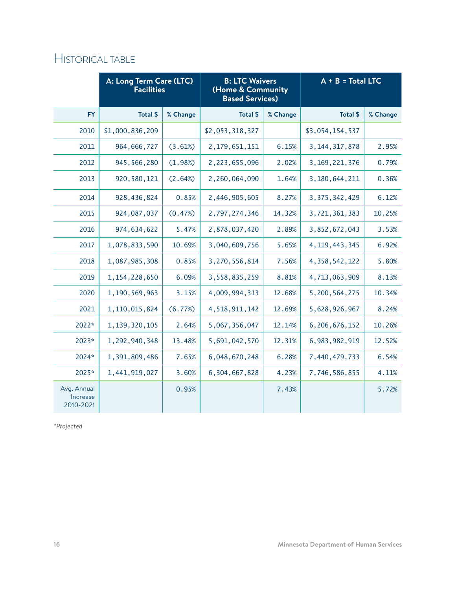|                                      | A: Long Term Care (LTC)<br><b>Facilities</b> |          | <b>B: LTC Waivers</b><br>(Home & Community<br><b>Based Services)</b> |          | $A + B = Total LTC$ |          |
|--------------------------------------|----------------------------------------------|----------|----------------------------------------------------------------------|----------|---------------------|----------|
| <b>FY</b>                            | Total \$                                     | % Change | <b>Total \$</b>                                                      | % Change | Total \$            | % Change |
| 2010                                 | \$1,000,836,209                              |          | \$2,053,318,327                                                      |          | \$3,054,154,537     |          |
| 2011                                 | 964, 666, 727                                | (3.61%)  | 2, 179, 651, 151                                                     | 6.15%    | 3, 144, 317, 878    | 2.95%    |
| 2012                                 | 945, 566, 280                                | (1.98%)  | 2,223,655,096                                                        | 2.02%    | 3, 169, 221, 376    | 0.79%    |
| 2013                                 | 920, 580, 121                                | (2.64%)  | 2,260,064,090                                                        | 1.64%    | 3,180,644,211       | 0.36%    |
| 2014                                 | 928,436,824                                  | 0.85%    | 2,446,905,605                                                        | 8.27%    | 3, 375, 342, 429    | 6.12%    |
| 2015                                 | 924,087,037                                  | (0.47%)  | 2,797,274,346                                                        | 14.32%   | 3,721,361,383       | 10.25%   |
| 2016                                 | 974,634,622                                  | 5.47%    | 2,878,037,420                                                        | 2.89%    | 3,852,672,043       | 3.53%    |
| 2017                                 | 1,078,833,590                                | 10.69%   | 3,040,609,756                                                        | 5.65%    | 4, 119, 443, 345    | 6.92%    |
| 2018                                 | 1,087,985,308                                | 0.85%    | 3,270,556,814                                                        | 7.56%    | 4, 358, 542, 122    | 5.80%    |
| 2019                                 | 1, 154, 228, 650                             | 6.09%    | 3,558,835,259                                                        | 8.81%    | 4,713,063,909       | 8.13%    |
| 2020                                 | 1,190,569,963                                | 3.15%    | 4,009,994,313                                                        | 12.68%   | 5,200,564,275       | 10.34%   |
| 2021                                 | 1, 110, 015, 824                             | (6.77%)  | 4,518,911,142                                                        | 12.69%   | 5,628,926,967       | 8.24%    |
| 2022*                                | 1,139,320,105                                | 2.64%    | 5,067,356,047                                                        | 12.14%   | 6,206,676,152       | 10.26%   |
| 2023*                                | 1,292,940,348                                | 13.48%   | 5,691,042,570                                                        | 12.31%   | 6,983,982,919       | 12.52%   |
| 2024*                                | 1,391,809,486                                | 7.65%    | 6,048,670,248                                                        | 6.28%    | 7,440,479,733       | 6.54%    |
| 2025*                                | 1,441,919,027                                | 3.60%    | 6,304,667,828                                                        | 4.23%    | 7,746,586,855       | 4.11%    |
| Avg. Annual<br>Increase<br>2010-2021 |                                              | 0.95%    |                                                                      | 7.43%    |                     | 5.72%    |

*\*Projected*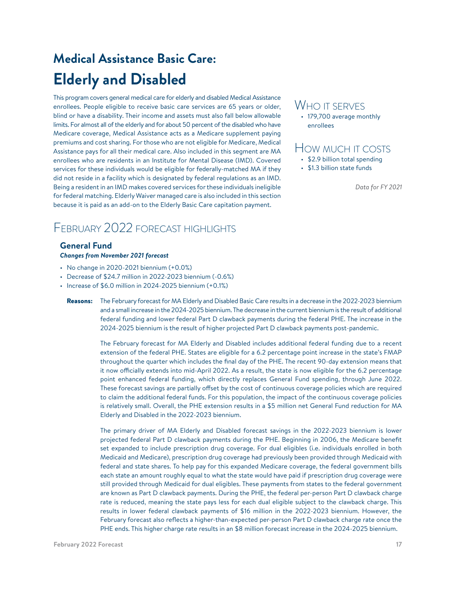# <span id="page-16-0"></span>**Medical Assistance Basic Care: Elderly and Disabled**

This program covers general medical care for elderly and disabled Medical Assistance enrollees. People eligible to receive basic care services are 65 years or older, blind or have a disability. Their income and assets must also fall below allowable limits. For almost all of the elderly and for about 50 percent of the disabled who have Medicare coverage, Medical Assistance acts as a Medicare supplement paying premiums and cost sharing. For those who are not eligible for Medicare, Medical Assistance pays for all their medical care. Also included in this segment are MA enrollees who are residents in an Institute for Mental Disease (IMD). Covered services for these individuals would be eligible for federally-matched MA if they did not reside in a facility which is designated by federal regulations as an IMD. Being a resident in an IMD makes covered services for these individuals ineligible for federal matching. Elderly Waiver managed care is also included in this section because it is paid as an add-on to the Elderly Basic Care capitation payment.

### FEBRUARY 2022 FORECAST HIGHLIGHTS

#### **General Fund** *Changes from November 2021 forecast*

- No change in 2020-2021 biennium (+0.0%)
- Decrease of \$24.7 million in 2022-2023 biennium (-0.6%)
- Increase of \$6.0 million in 2024-2025 biennium (+0.1%)

### WHO IT SERVES

• 179,700 average monthly enrollees

### How much it costs

- \$2.9 billion total spending
- \$1.3 billion state funds

*Data for FY 2021*

Reasons: The February forecast for MA Elderly and Disabled Basic Care results in a decrease in the 2022-2023 biennium and a small increase in the 2024-2025 biennium. The decrease in the current biennium is the result of additional federal funding and lower federal Part D clawback payments during the federal PHE. The increase in the 2024-2025 biennium is the result of higher projected Part D clawback payments post-pandemic.

The February forecast for MA Elderly and Disabled includes additional federal funding due to a recent extension of the federal PHE. States are eligible for a 6.2 percentage point increase in the state's FMAP throughout the quarter which includes the final day of the PHE. The recent 90-day extension means that it now officially extends into mid-April 2022. As a result, the state is now eligible for the 6.2 percentage point enhanced federal funding, which directly replaces General Fund spending, through June 2022. These forecast savings are partially offset by the cost of continuous coverage policies which are required to claim the additional federal funds. For this population, the impact of the continuous coverage policies is relatively small. Overall, the PHE extension results in a \$5 million net General Fund reduction for MA Elderly and Disabled in the 2022-2023 biennium.

The primary driver of MA Elderly and Disabled forecast savings in the 2022-2023 biennium is lower projected federal Part D clawback payments during the PHE. Beginning in 2006, the Medicare benefit set expanded to include prescription drug coverage. For dual eligibles (i.e. individuals enrolled in both Medicaid and Medicare), prescription drug coverage had previously been provided through Medicaid with federal and state shares. To help pay for this expanded Medicare coverage, the federal government bills each state an amount roughly equal to what the state would have paid if prescription drug coverage were still provided through Medicaid for dual eligibles. These payments from states to the federal government are known as Part D clawback payments. During the PHE, the federal per-person Part D clawback charge rate is reduced, meaning the state pays less for each dual eligible subject to the clawback charge. This results in lower federal clawback payments of \$16 million in the 2022-2023 biennium. However, the February forecast also reflects a higher-than-expected per-person Part D clawback charge rate once the PHE ends. This higher charge rate results in an \$8 million forecast increase in the 2024-2025 biennium.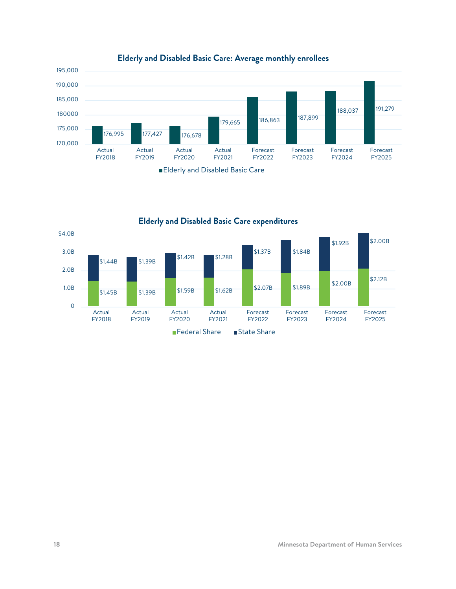

0 1.0B 2.0B 3.0B \$4.0B  $$1.45B$   $$1.39B$   $$1.59B$   $$1.62B$   $$2.07B$   $$1.89B$   $$2.00B$   $$2.00B$   $$2.12B$  $$1.44B$   $$1.39B$   $$1.42B$   $$1.28B$ \$1.37B \$1.84B \$1.92B \$2.00B Actual FY2018 Actual FY2019 Actual FY2020 Actual FY2021 Forecast FY2022 Forecast FY2023 Forecast FY2024 Forecast FY2025 **Elderly and Disabled Basic Care expenditures**

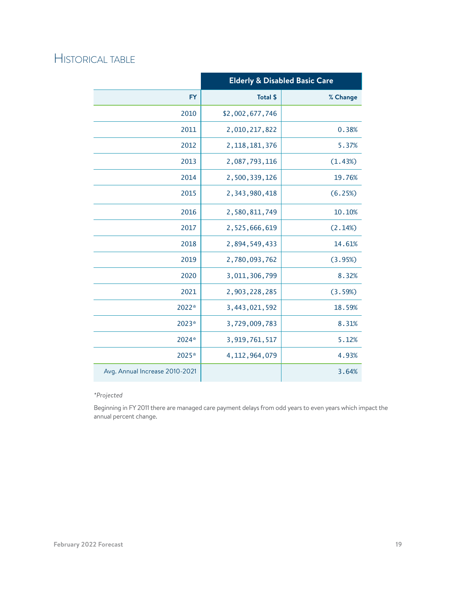|                                | <b>Elderly &amp; Disabled Basic Care</b> |          |  |
|--------------------------------|------------------------------------------|----------|--|
| <b>FY</b>                      | <b>Total \$</b>                          | % Change |  |
| 2010                           | \$2,002,677,746                          |          |  |
| 2011                           | 2,010,217,822                            | 0.38%    |  |
| 2012                           | 2, 118, 181, 376                         | 5.37%    |  |
| 2013                           | 2,087,793,116                            | (1.43%)  |  |
| 2014                           | 2,500,339,126                            | 19.76%   |  |
| 2015                           | 2,343,980,418                            | (6.25%)  |  |
| 2016                           | 2,580,811,749                            | 10.10%   |  |
| 2017                           | 2,525,666,619                            | (2.14%)  |  |
| 2018                           | 2,894,549,433                            | 14.61%   |  |
| 2019                           | 2,780,093,762                            | (3.95%)  |  |
| 2020                           | 3,011,306,799                            | 8.32%    |  |
| 2021                           | 2,903,228,285                            | (3.59%)  |  |
| 2022*                          | 3,443,021,592                            | 18.59%   |  |
| 2023*                          | 3,729,009,783                            | 8.31%    |  |
| 2024*                          | 3,919,761,517                            | 5.12%    |  |
| 2025*                          | 4, 112, 964, 079                         | 4.93%    |  |
| Avg. Annual Increase 2010-2021 |                                          | 3.64%    |  |

#### *\*Projected*

Beginning in FY 2011 there are managed care payment delays from odd years to even years which impact the annual percent change.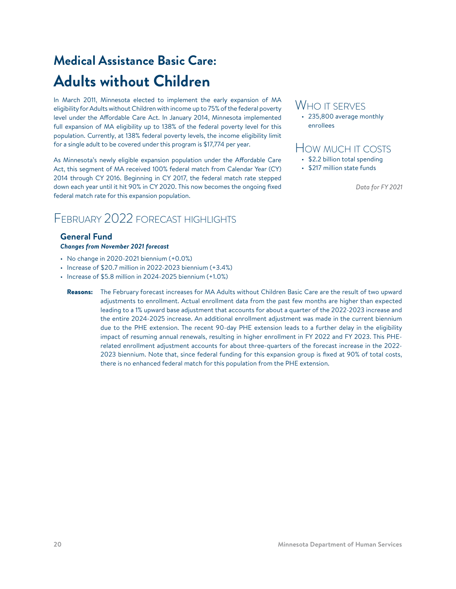# <span id="page-19-0"></span>**Medical Assistance Basic Care: Adults without Children**

In March 2011, Minnesota elected to implement the early expansion of MA eligibility for Adults without Children with income up to 75% of the federal poverty level under the Affordable Care Act. In January 2014, Minnesota implemented full expansion of MA eligibility up to 138% of the federal poverty level for this population. Currently, at 138% federal poverty levels, the income eligibility limit for a single adult to be covered under this program is \$17,774 per year.

As Minnesota's newly eligible expansion population under the Affordable Care Act, this segment of MA received 100% federal match from Calendar Year (CY) 2014 through CY 2016. Beginning in CY 2017, the federal match rate stepped down each year until it hit 90% in CY 2020. This now becomes the ongoing fixed federal match rate for this expansion population.

### February 2022 forecast highlights

#### **General Fund** *Changes from November 2021 forecast*

- $\cdot$  No change in 2020-2021 biennium  $(+0.0\%)$
- Increase of \$20.7 million in 2022-2023 biennium (+3.4%)
- Increase of \$5.8 million in 2024-2025 biennium (+1.0%)
	- Reasons: The February forecast increases for MA Adults without Children Basic Care are the result of two upward adjustments to enrollment. Actual enrollment data from the past few months are higher than expected leading to a 1% upward base adjustment that accounts for about a quarter of the 2022-2023 increase and the entire 2024-2025 increase. An additional enrollment adjustment was made in the current biennium due to the PHE extension. The recent 90-day PHE extension leads to a further delay in the eligibility impact of resuming annual renewals, resulting in higher enrollment in FY 2022 and FY 2023. This PHErelated enrollment adjustment accounts for about three-quarters of the forecast increase in the 2022- 2023 biennium. Note that, since federal funding for this expansion group is fixed at 90% of total costs, there is no enhanced federal match for this population from the PHE extension.

### WHO IT SERVES

• 235,800 average monthly enrollees

### How much it costs

- \$2.2 billion total spending
- \$217 million state funds

*Data for FY 2021*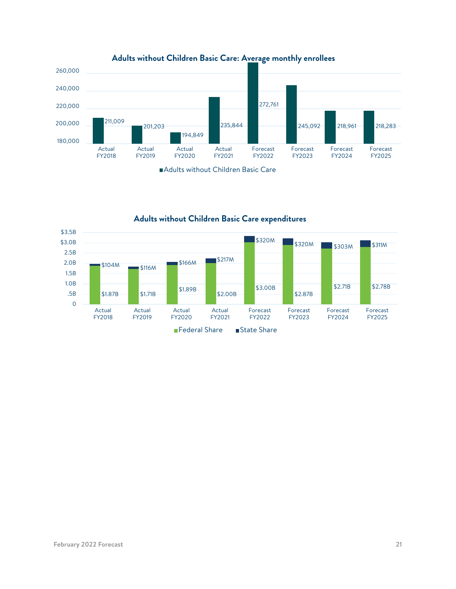







**Adults without Children Basic Care expenditures**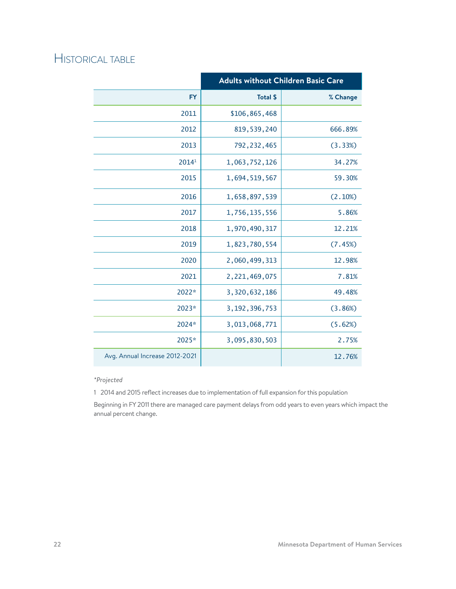|                                | <b>Adults without Children Basic Care</b> |          |  |
|--------------------------------|-------------------------------------------|----------|--|
| <b>FY</b>                      | <b>Total \$</b>                           | % Change |  |
| 2011                           | \$106,865,468                             |          |  |
| 2012                           | 819, 539, 240                             | 666.89%  |  |
| 2013                           | 792, 232, 465                             | (3.33%)  |  |
| 20141                          | 1,063,752,126                             | 34.27%   |  |
| 2015                           | 1,694,519,567                             | 59.30%   |  |
| 2016                           | 1,658,897,539                             | (2.10%)  |  |
| 2017                           | 1,756,135,556                             | 5.86%    |  |
| 2018                           | 1,970,490,317                             | 12.21%   |  |
| 2019                           | 1,823,780,554                             | (7.45%)  |  |
| 2020                           | 2,060,499,313                             | 12.98%   |  |
| 2021                           | 2,221,469,075                             | 7.81%    |  |
| 2022*                          | 3,320,632,186                             | 49.48%   |  |
| 2023*                          | 3, 192, 396, 753                          | (3.86%)  |  |
| 2024*                          | 3,013,068,771                             | (5.62%)  |  |
| 2025*                          | 3,095,830,503                             | 2.75%    |  |
| Avg. Annual Increase 2012-2021 |                                           | 12.76%   |  |

*\*Projected*

1 2014 and 2015 reflect increases due to implementation of full expansion for this population

Beginning in FY 2011 there are managed care payment delays from odd years to even years which impact the annual percent change.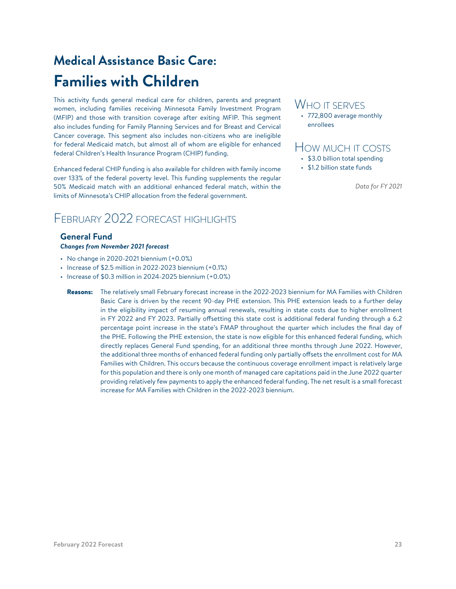# <span id="page-22-0"></span>**Medical Assistance Basic Care: Families with Children**

This activity funds general medical care for children, parents and pregnant women, including families receiving Minnesota Family Investment Program (MFIP) and those with transition coverage after exiting MFIP. This segment also includes funding for Family Planning Services and for Breast and Cervical Cancer coverage. This segment also includes non-citizens who are ineligible for federal Medicaid match, but almost all of whom are eligible for enhanced federal Children's Health Insurance Program (CHIP) funding.

Enhanced federal CHIP funding is also available for children with family income over 133% of the federal poverty level. This funding supplements the regular 50% Medicaid match with an additional enhanced federal match, within the limits of Minnesota's CHIP allocation from the federal government.

### February 2022 forecast highlights

#### **General Fund** *Changes from November 2021 forecast*

- $\cdot$  No change in 2020-2021 biennium  $(+0.0\%)$
- $\cdot$  Increase of \$2.5 million in 2022-2023 biennium  $(+0.1%)$
- $\cdot$  Increase of \$0.3 million in 2024-2025 biennium  $(+0.0\%)$ 
	- Reasons: The relatively small February forecast increase in the 2022-2023 biennium for MA Families with Children Basic Care is driven by the recent 90-day PHE extension. This PHE extension leads to a further delay in the eligibility impact of resuming annual renewals, resulting in state costs due to higher enrollment in FY 2022 and FY 2023. Partially offsetting this state cost is additional federal funding through a 6.2 percentage point increase in the state's FMAP throughout the quarter which includes the final day of the PHE. Following the PHE extension, the state is now eligible for this enhanced federal funding, which directly replaces General Fund spending, for an additional three months through June 2022. However, the additional three months of enhanced federal funding only partially offsets the enrollment cost for MA Families with Children. This occurs because the continuous coverage enrollment impact is relatively large for this population and there is only one month of managed care capitations paid in the June 2022 quarter providing relatively few payments to apply the enhanced federal funding. The net result is a small forecast increase for MA Families with Children in the 2022-2023 biennium.

### WHO IT SERVES

• 772,800 average monthly enrollees

### How much it costs

- \$3.0 billion total spending
- \$1.2 billion state funds

*Data for FY 2021*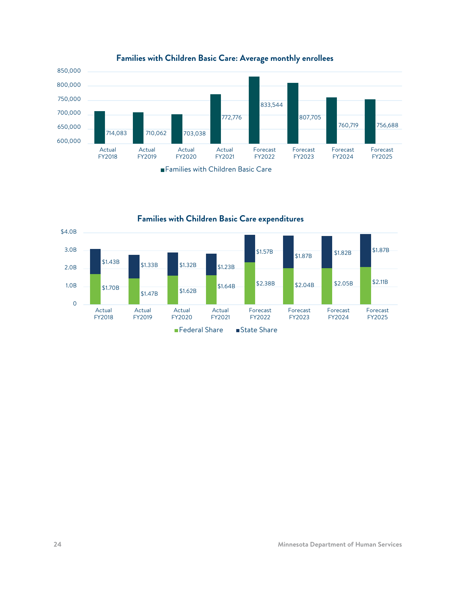





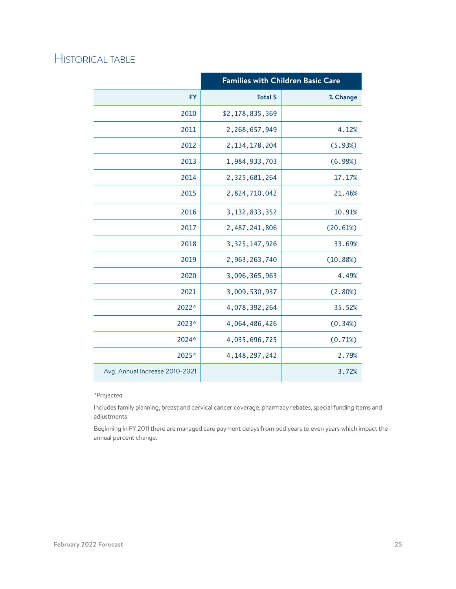|                                | <b>Families with Children Basic Care</b> |          |  |
|--------------------------------|------------------------------------------|----------|--|
| <b>FY</b>                      | <b>Total \$</b>                          | % Change |  |
| 2010                           | \$2,178,835,369                          |          |  |
| 2011                           | 2,268,657,949                            | 4.12%    |  |
| 2012                           | 2, 134, 178, 204                         | (5.93%)  |  |
| 2013                           | 1,984,933,703                            | (6.99%)  |  |
| 2014                           | 2,325,681,264                            | 17.17%   |  |
| 2015                           | 2,824,710,042                            | 21.46%   |  |
| 2016                           | 3, 132, 833, 352                         | 10.91%   |  |
| 2017                           | 2,487,241,806                            | (20.61%) |  |
| 2018                           | 3, 325, 147, 926                         | 33.69%   |  |
| 2019                           | 2,963,263,740                            | (10.88%) |  |
| 2020                           | 3,096,365,963                            | 4.49%    |  |
| 2021                           | 3,009,530,937                            | (2.80%)  |  |
| 2022*                          | 4,078,392,264                            | 35.52%   |  |
| 2023*                          | 4,064,486,426                            | (0.34%)  |  |
| 2024*                          | 4,035,696,725                            | (0.71%)  |  |
| 2025*                          | 4, 148, 297, 242                         | 2.79%    |  |
| Avg. Annual Increase 2010-2021 |                                          | 3.72%    |  |

#### *\*Projected*

Includes family planning, breast and cervical cancer coverage, pharmacy rebates, special funding items and adjustments

Beginning in FY 2011 there are managed care payment delays from odd years to even years which impact the annual percent change.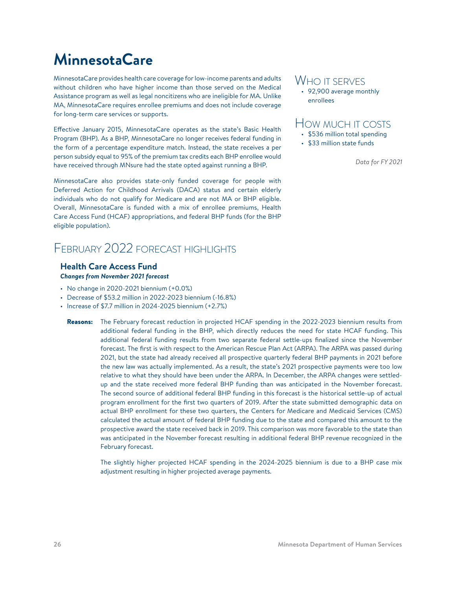# <span id="page-25-0"></span>**MinnesotaCare**

MinnesotaCare provides health care coverage for low-income parents and adults without children who have higher income than those served on the Medical Assistance program as well as legal noncitizens who are ineligible for MA. Unlike MA, MinnesotaCare requires enrollee premiums and does not include coverage for long-term care services or supports.

Effective January 2015, MinnesotaCare operates as the state's Basic Health Program (BHP). As a BHP, MinnesotaCare no longer receives federal funding in the form of a percentage expenditure match. Instead, the state receives a per person subsidy equal to 95% of the premium tax credits each BHP enrollee would have received through MNsure had the state opted against running a BHP.

MinnesotaCare also provides state-only funded coverage for people with Deferred Action for Childhood Arrivals (DACA) status and certain elderly individuals who do not qualify for Medicare and are not MA or BHP eligible. Overall, MinnesotaCare is funded with a mix of enrollee premiums, Health Care Access Fund (HCAF) appropriations, and federal BHP funds (for the BHP eligible population).

### February 2022 forecast highlights

#### **Health Care Access Fund** *Changes from November 2021 forecast*

- No change in 2020-2021 biennium (+0.0%)
- Decrease of \$53.2 million in 2022-2023 biennium (-16.8%)
- Increase of \$7.7 million in 2024-2025 biennium (+2.7%)

Reasons: The February forecast reduction in projected HCAF spending in the 2022-2023 biennium results from additional federal funding in the BHP, which directly reduces the need for state HCAF funding. This additional federal funding results from two separate federal settle-ups finalized since the November forecast. The first is with respect to the American Rescue Plan Act (ARPA). The ARPA was passed during 2021, but the state had already received all prospective quarterly federal BHP payments in 2021 before the new law was actually implemented. As a result, the state's 2021 prospective payments were too low relative to what they should have been under the ARPA. In December, the ARPA changes were settledup and the state received more federal BHP funding than was anticipated in the November forecast. The second source of additional federal BHP funding in this forecast is the historical settle-up of actual program enrollment for the first two quarters of 2019. After the state submitted demographic data on actual BHP enrollment for these two quarters, the Centers for Medicare and Medicaid Services (CMS) calculated the actual amount of federal BHP funding due to the state and compared this amount to the prospective award the state received back in 2019. This comparison was more favorable to the state than was anticipated in the November forecast resulting in additional federal BHP revenue recognized in the February forecast.

The slightly higher projected HCAF spending in the 2024-2025 biennium is due to a BHP case mix adjustment resulting in higher projected average payments.

### WHO IT SERVES

• 92,900 average monthly enrollees

### How much it costs

- \$536 million total spending
- \$33 million state funds

*Data for FY 2021*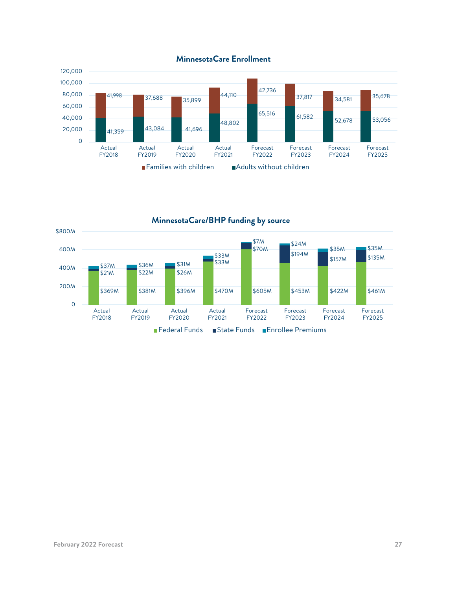



**MinnesotaCare/BHP funding by source**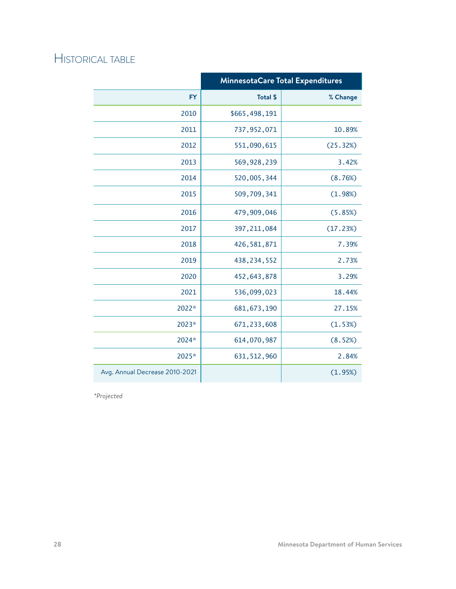|                                | Minnesota Care Total Expenditures |          |  |
|--------------------------------|-----------------------------------|----------|--|
| <b>FY</b>                      | <b>Total \$</b>                   | % Change |  |
| 2010                           | \$665,498,191                     |          |  |
| 2011                           | 737, 952, 071                     | 10.89%   |  |
| 2012                           | 551,090,615                       | (25.32%) |  |
| 2013                           | 569,928,239                       | 3.42%    |  |
| 2014                           | 520,005,344                       | (8.76%)  |  |
| 2015                           | 509,709,341                       | (1.98%)  |  |
| 2016                           | 479,909,046                       | (5.85%)  |  |
| 2017                           | 397, 211, 084                     | (17.23%) |  |
| 2018                           | 426, 581, 871                     | 7.39%    |  |
| 2019                           | 438, 234, 552                     | 2.73%    |  |
| 2020                           | 452, 643, 878                     | 3.29%    |  |
| 2021                           | 536,099,023                       | 18.44%   |  |
| 2022*                          | 681, 673, 190                     | 27.15%   |  |
| 2023*                          | 671, 233, 608                     | (1.53%)  |  |
| 2024*                          | 614,070,987                       | (8.52%)  |  |
| 2025*                          | 631, 512, 960                     | 2.84%    |  |
| Avg. Annual Decrease 2010-2021 |                                   | (1.95%)  |  |

*\*Projected*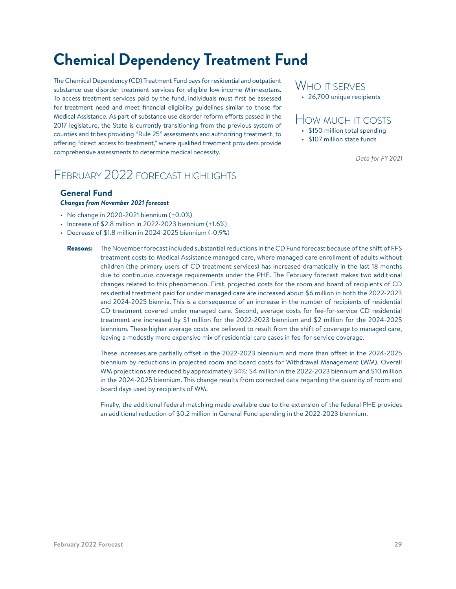# <span id="page-28-0"></span>**Chemical Dependency Treatment Fund**

The Chemical Dependency (CD) Treatment Fund pays for residential and outpatient substance use disorder treatment services for eligible low-income Minnesotans. To access treatment services paid by the fund, individuals must first be assessed for treatment need and meet financial eligibility guidelines similar to those for Medical Assistance. As part of substance use disorder reform efforts passed in the 2017 legislature, the State is currently transitioning from the previous system of counties and tribes providing "Rule 25" assessments and authorizing treatment, to offering "direct access to treatment," where qualified treatment providers provide comprehensive assessments to determine medical necessity.

### February 2022 forecast highlights

#### **General Fund** *Changes from November 2021 forecast*

- No change in 2020-2021 biennium (+0.0%)
- Increase of \$2.8 million in 2022-2023 biennium (+1.6%)
- Decrease of \$1.8 million in 2024-2025 biennium (-0.9%)

### WHO IT SERVES • 26,700 unique recipients

### How much it costs

- \$150 million total spending
- \$107 million state funds

*Data for FY 2021*

Reasons: The November forecast included substantial reductions in the CD Fund forecast because of the shift of FFS treatment costs to Medical Assistance managed care, where managed care enrollment of adults without children (the primary users of CD treatment services) has increased dramatically in the last 18 months due to continuous coverage requirements under the PHE. The February forecast makes two additional changes related to this phenomenon. First, projected costs for the room and board of recipients of CD residential treatment paid for under managed care are increased about \$6 million in both the 2022-2023 and 2024-2025 biennia. This is a consequence of an increase in the number of recipients of residential CD treatment covered under managed care. Second, average costs for fee-for-service CD residential treatment are increased by \$1 million for the 2022-2023 biennium and \$2 million for the 2024-2025 biennium. These higher average costs are believed to result from the shift of coverage to managed care, leaving a modestly more expensive mix of residential care cases in fee-for-service coverage.

These increases are partially offset in the 2022-2023 biennium and more than offset in the 2024-2025 biennium by reductions in projected room and board costs for Withdrawal Management (WM). Overall WM projections are reduced by approximately 34%: \$4 million in the 2022-2023 biennium and \$10 million in the 2024-2025 biennium. This change results from corrected data regarding the quantity of room and board days used by recipients of WM.

Finally, the additional federal matching made available due to the extension of the federal PHE provides an additional reduction of \$0.2 million in General Fund spending in the 2022-2023 biennium.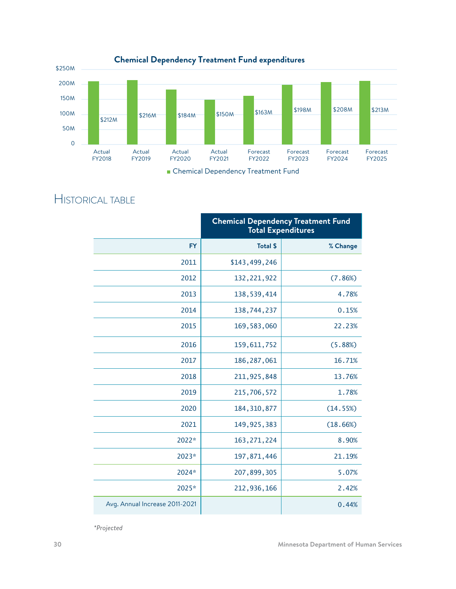

|                                | <b>Chemical Dependency Treatment Fund</b><br><b>Total Expenditures</b> |          |  |
|--------------------------------|------------------------------------------------------------------------|----------|--|
| <b>FY</b>                      | <b>Total \$</b>                                                        | % Change |  |
| 2011                           | \$143,499,246                                                          |          |  |
| 2012                           | 132, 221, 922                                                          | (7.86%)  |  |
| 2013                           | 138, 539, 414                                                          | 4.78%    |  |
| 2014                           | 138,744,237                                                            | 0.15%    |  |
| 2015                           | 169, 583, 060                                                          | 22.23%   |  |
| 2016                           | 159, 611, 752                                                          | (5.88%)  |  |
| 2017                           | 186, 287, 061                                                          | 16.71%   |  |
| 2018                           | 211, 925, 848                                                          | 13.76%   |  |
| 2019                           | 215,706,572                                                            | 1.78%    |  |
| 2020                           | 184, 310, 877                                                          | (14.55%) |  |
| 2021                           | 149, 925, 383                                                          | (18.66%) |  |
| 2022*                          | 163, 271, 224                                                          | 8.90%    |  |
| 2023*                          | 197,871,446                                                            | 21.19%   |  |
| 2024*                          | 207,899,305                                                            | 5.07%    |  |
| 2025*                          | 212,936,166                                                            | 2.42%    |  |
| Avg. Annual Increase 2011-2021 |                                                                        | 0.44%    |  |

*\*Projected*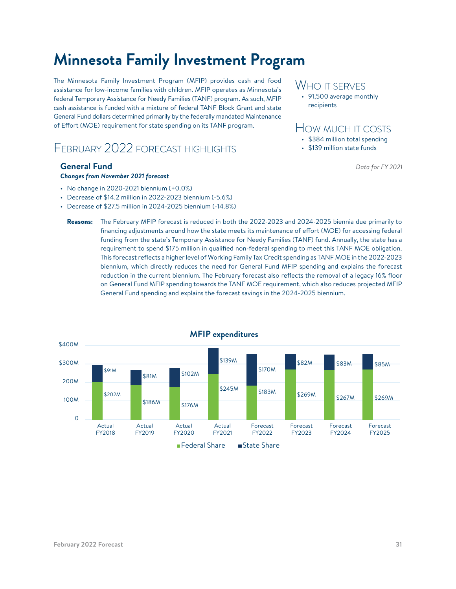# <span id="page-30-0"></span>**Minnesota Family Investment Program**

The Minnesota Family Investment Program (MFIP) provides cash and food assistance for low-income families with children. MFIP operates as Minnesota's federal Temporary Assistance for Needy Families (TANF) program. As such, MFIP cash assistance is funded with a mixture of federal TANF Block Grant and state General Fund dollars determined primarily by the federally mandated Maintenance of Effort (MOE) requirement for state spending on its TANF program.

### February 2022 forecast highlights

#### **General Fund**

#### *Changes from November 2021 forecast*

- $\cdot$  No change in 2020-2021 biennium  $(+0.0\%)$
- Decrease of \$14.2 million in 2022-2023 biennium (-5.6%)
- Decrease of \$27.5 million in 2024-2025 biennium (-14.8%)

### WHO IT SERVES

• 91,500 average monthly recipients

### How much it costs

- \$384 million total spending
- \$139 million state funds

*Data for FY 2021*

Reasons: The February MFIP forecast is reduced in both the 2022-2023 and 2024-2025 biennia due primarily to financing adjustments around how the state meets its maintenance of effort (MOE) for accessing federal funding from the state's Temporary Assistance for Needy Families (TANF) fund. Annually, the state has a requirement to spend \$175 million in qualified non-federal spending to meet this TANF MOE obligation. This forecast reflects a higher level of Working Family Tax Credit spending as TANF MOE in the 2022-2023 biennium, which directly reduces the need for General Fund MFIP spending and explains the forecast reduction in the current biennium. The February forecast also reflects the removal of a legacy 16% floor on General Fund MFIP spending towards the TANF MOE requirement, which also reduces projected MFIP General Fund spending and explains the forecast savings in the 2024-2025 biennium.



#### **MFIP expenditures**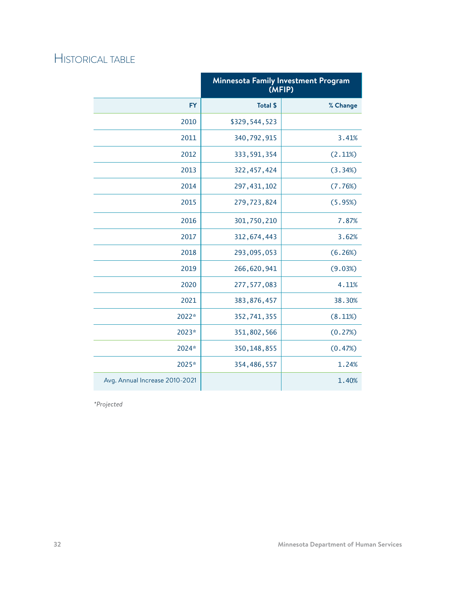|                                | <b>Minnesota Family Investment Program</b><br>(MFIP) |          |
|--------------------------------|------------------------------------------------------|----------|
| <b>FY</b>                      | <b>Total \$</b>                                      | % Change |
| 2010                           | \$329,544,523                                        |          |
| 2011                           | 340,792,915                                          | 3.41%    |
| 2012                           | 333, 591, 354                                        | (2.11%)  |
| 2013                           | 322, 457, 424                                        | (3.34%)  |
| 2014                           | 297, 431, 102                                        | (7.76%)  |
| 2015                           | 279,723,824                                          | (5.95%)  |
| 2016                           | 301,750,210                                          | 7.87%    |
| 2017                           | 312, 674, 443                                        | 3.62%    |
| 2018                           | 293,095,053                                          | (6.26%)  |
| 2019                           | 266,620,941                                          | (9.03%)  |
| 2020                           | 277, 577, 083                                        | 4.11%    |
| 2021                           | 383,876,457                                          | 38.30%   |
| 2022*                          | 352,741,355                                          | (8.11%)  |
| 2023*                          | 351,802,566                                          | (0.27%)  |
| 2024*                          | 350, 148, 855                                        | (0.47%)  |
| 2025*                          | 354,486,557                                          | 1.24%    |
| Avg. Annual Increase 2010-2021 |                                                      | 1.40%    |

*\*Projected*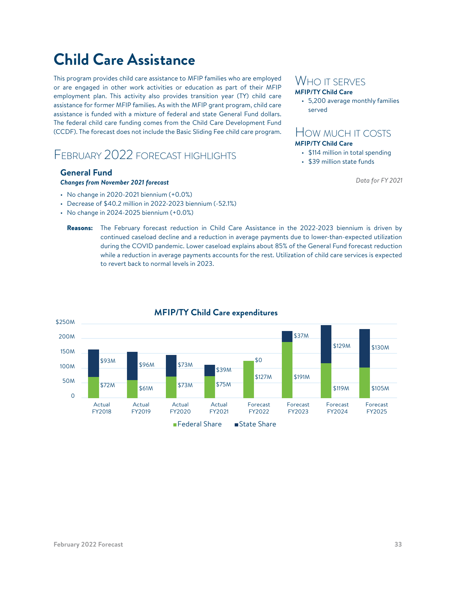# <span id="page-32-0"></span>**Child Care Assistance**

This program provides child care assistance to MFIP families who are employed or are engaged in other work activities or education as part of their MFIP employment plan. This activity also provides transition year (TY) child care assistance for former MFIP families. As with the MFIP grant program, child care assistance is funded with a mixture of federal and state General Fund dollars. The federal child care funding comes from the Child Care Development Fund (CCDF). The forecast does not include the Basic Sliding Fee child care program.

### FFBRUARY 2022 FORECAST HIGHLIGHTS

### **General Fund**

#### *Changes from November 2021 forecast*

- No change in 2020-2021 biennium (+0.0%)
- Decrease of \$40.2 million in 2022-2023 biennium (-52.1%)
- $\cdot$  No change in 2024-2025 biennium  $(+0.0\%)$

### WHO IT SERVES

### **MFIP/TY Child Care**

• 5,200 average monthly families served

### How much it costs **MFIP/TY Child Care**

- \$114 million in total spending
- \$39 million state funds

*Data for FY 2021*

Reasons: The February forecast reduction in Child Care Assistance in the 2022-2023 biennium is driven by continued caseload decline and a reduction in average payments due to lower-than-expected utilization during the COVID pandemic. Lower caseload explains about 85% of the General Fund forecast reduction while a reduction in average payments accounts for the rest. Utilization of child care services is expected to revert back to normal levels in 2023.



### **MFIP/TY Child Care expenditures**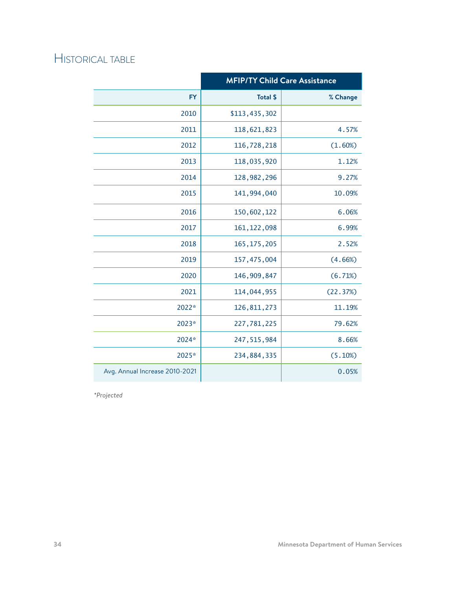|                                | <b>MFIP/TY Child Care Assistance</b> |          |  |
|--------------------------------|--------------------------------------|----------|--|
| <b>FY</b>                      | <b>Total \$</b>                      | % Change |  |
| 2010                           | \$113,435,302                        |          |  |
| 2011                           | 118,621,823                          | 4.57%    |  |
| 2012                           | 116,728,218                          | (1.60%)  |  |
| 2013                           | 118,035,920                          | 1.12%    |  |
| 2014                           | 128, 982, 296                        | 9.27%    |  |
| 2015                           | 141,994,040                          | 10.09%   |  |
| 2016                           | 150,602,122                          | 6.06%    |  |
| 2017                           | 161, 122, 098                        | 6.99%    |  |
| 2018                           | 165, 175, 205                        | 2.52%    |  |
| 2019                           | 157,475,004                          | (4.66%)  |  |
| 2020                           | 146,909,847                          | (6.71%)  |  |
| 2021                           | 114,044,955                          | (22.37%) |  |
| 2022*                          | 126, 811, 273                        | 11.19%   |  |
| 2023*                          | 227,781,225                          | 79.62%   |  |
| 2024*                          | 247, 515, 984                        | 8.66%    |  |
| 2025*                          | 234,884,335                          | (5.10%)  |  |
| Avg. Annual Increase 2010-2021 |                                      | 0.05%    |  |

*\*Projected*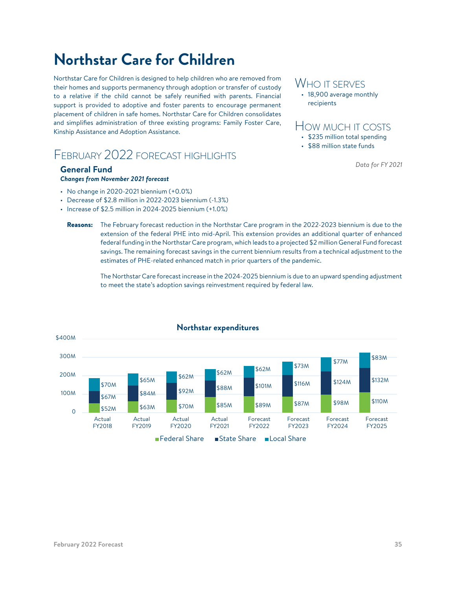# <span id="page-34-0"></span>**Northstar Care for Children**

Northstar Care for Children is designed to help children who are removed from their homes and supports permanency through adoption or transfer of custody to a relative if the child cannot be safely reunified with parents. Financial support is provided to adoptive and foster parents to encourage permanent placement of children in safe homes. Northstar Care for Children consolidates and simplifies administration of three existing programs: Family Foster Care, Kinship Assistance and Adoption Assistance.

### February 2022 forecast highlights

#### **General Fund**

#### *Changes from November 2021 forecast*

- No change in 2020-2021 biennium (+0.0%)
- Decrease of \$2.8 million in 2022-2023 biennium (-1.3%)
- Increase of \$2.5 million in 2024-2025 biennium (+1.0%)

### Who it serves

• 18,900 average monthly recipients

### How much it costs

- \$235 million total spending
- \$88 million state funds

*Data for FY 2021*

Reasons: The February forecast reduction in the Northstar Care program in the 2022-2023 biennium is due to the extension of the federal PHE into mid-April. This extension provides an additional quarter of enhanced federal funding in the Northstar Care program, which leads to a projected \$2 million General Fund forecast savings. The remaining forecast savings in the current biennium results from a technical adjustment to the estimates of PHE-related enhanced match in prior quarters of the pandemic.

The Northstar Care forecast increase in the 2024-2025 biennium is due to an upward spending adjustment to meet the state's adoption savings reinvestment required by federal law.



#### **Northstar expenditures**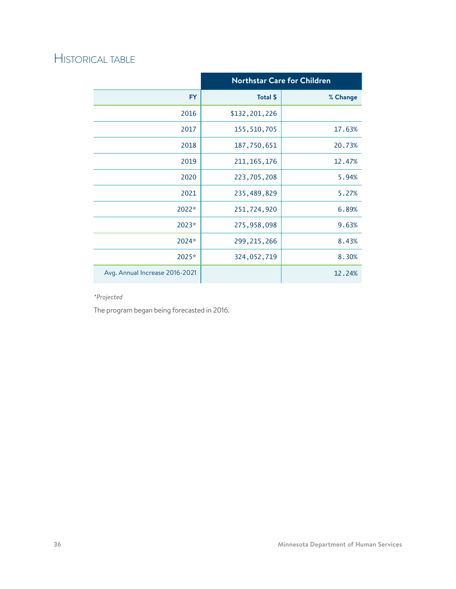|                                | <b>Northstar Care for Children</b> |          |  |
|--------------------------------|------------------------------------|----------|--|
| <b>FY</b>                      | Total \$                           | % Change |  |
| 2016                           | \$132,201,226                      |          |  |
| 2017                           | 155, 510, 705                      | 17.63%   |  |
| 2018                           | 187,750,651                        | 20.73%   |  |
| 2019                           | 211, 165, 176                      | 12.47%   |  |
| 2020                           | 223,705,208                        | 5.94%    |  |
| 2021                           | 235,489,829                        | 5.27%    |  |
| 2022*                          | 251,724,920                        | 6.89%    |  |
| 2023*                          | 275,958,098                        | 9.63%    |  |
| 2024*                          | 299, 215, 266                      | 8.43%    |  |
| 2025*                          | 324,052,719                        | 8.30%    |  |
| Avg. Annual Increase 2016-2021 |                                    | 12.24%   |  |

### *\*Projected*

The program began being forecasted in 2016.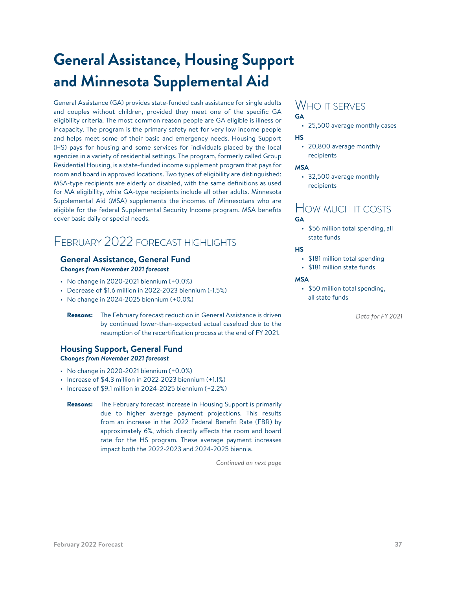# <span id="page-36-0"></span>**General Assistance, Housing Support and Minnesota Supplemental Aid**

General Assistance (GA) provides state-funded cash assistance for single adults and couples without children, provided they meet one of the specific GA eligibility criteria. The most common reason people are GA eligible is illness or incapacity. The program is the primary safety net for very low income people and helps meet some of their basic and emergency needs. Housing Support (HS) pays for housing and some services for individuals placed by the local agencies in a variety of residential settings. The program, formerly called Group Residential Housing, is a state-funded income supplement program that pays for room and board in approved locations. Two types of eligibility are distinguished: MSA-type recipients are elderly or disabled, with the same definitions as used for MA eligibility, while GA-type recipients include all other adults. Minnesota Supplemental Aid (MSA) supplements the incomes of Minnesotans who are eligible for the federal Supplemental Security Income program. MSA benefits cover basic daily or special needs.

### February 2022 forecast highlights

#### **General Assistance, General Fund** *Changes from November 2021 forecast*

- No change in 2020-2021 biennium (+0.0%)
- Decrease of \$1.6 million in 2022-2023 biennium (-1.5%)
- $\cdot$  No change in 2024-2025 biennium  $(+0.0\%)$ 
	- Reasons: The February forecast reduction in General Assistance is driven by continued lower-than-expected actual caseload due to the resumption of the recertification process at the end of FY 2021.

#### **Housing Support, General Fund** *Changes from November 2021 forecast*

- $\cdot$  No change in 2020-2021 biennium  $(+0.0\%)$
- Increase of \$4.3 million in 2022-2023 biennium (+1.1%)
- Increase of \$9.1 million in 2024-2025 biennium (+2.2%)
	- **Reasons:** The February forecast increase in Housing Support is primarily due to higher average payment projections. This results from an increase in the 2022 Federal Benefit Rate (FBR) by approximately 6%, which directly affects the room and board rate for the HS program. These average payment increases impact both the 2022-2023 and 2024-2025 biennia.

*Continued on next page*

#### WHO IT SERVES **GA**

• 25,500 average monthly cases

#### **HS**

• 20,800 average monthly recipients

#### **MSA**

• 32,500 average monthly recipients

### How much it costs

- **GA**
	- \$56 million total spending, all state funds

**HS**

- \$181 million total spending
- \$181 million state funds

#### **MSA**

• \$50 million total spending, all state funds

*Data for FY 2021*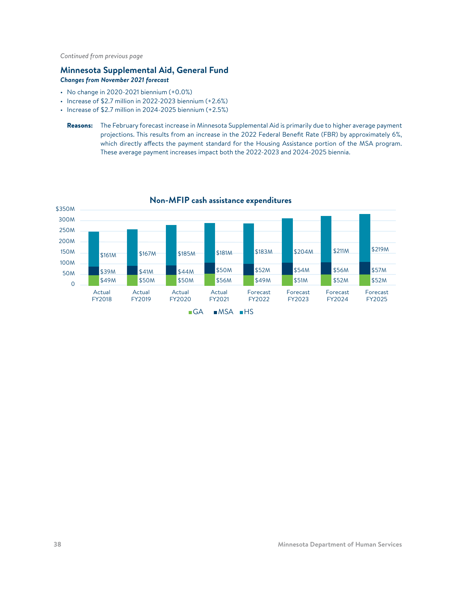*Continued from previous page*

### **Minnesota Supplemental Aid, General Fund** *Changes from November 2021 forecast*

- No change in 2020-2021 biennium (+0.0%)
- Increase of \$2.7 million in 2022-2023 biennium (+2.6%)
- Increase of \$2.7 million in 2024-2025 biennium (+2.5%)

Reasons: The February forecast increase in Minnesota Supplemental Aid is primarily due to higher average payment projections. This results from an increase in the 2022 Federal Benefit Rate (FBR) by approximately 6%, which directly affects the payment standard for the Housing Assistance portion of the MSA program. These average payment increases impact both the 2022-2023 and 2024-2025 biennia.



#### **Non-MFIP cash assistance expenditures**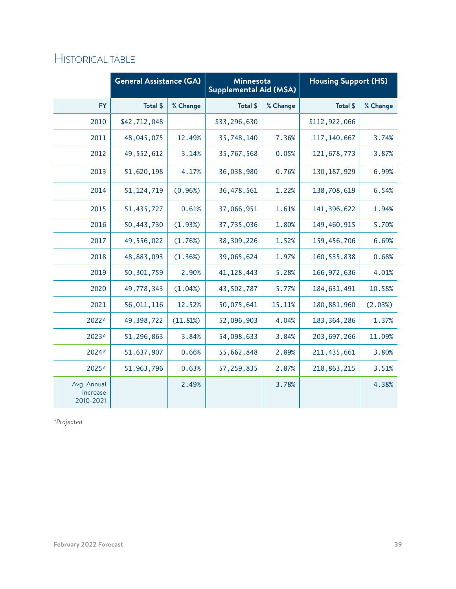|                                      | <b>General Assistance (GA)</b> |          | Minnesota<br><b>Supplemental Aid (MSA)</b> |          | <b>Housing Support (HS)</b> |          |
|--------------------------------------|--------------------------------|----------|--------------------------------------------|----------|-----------------------------|----------|
| <b>FY</b>                            | <b>Total \$</b>                | % Change | <b>Total \$</b>                            | % Change | <b>Total \$</b>             | % Change |
| 2010                                 | \$42,712,048                   |          | \$33,296,630                               |          | \$112,922,066               |          |
| 2011                                 | 48,045,075                     | 12.49%   | 35,748,140                                 | 7.36%    | 117, 140, 667               | 3.74%    |
| 2012                                 | 49, 552, 612                   | 3.14%    | 35,767,568                                 | 0.05%    | 121,678,773                 | 3.87%    |
| 2013                                 | 51,620,198                     | 4.17%    | 36,038,980                                 | 0.76%    | 130, 187, 929               | 6.99%    |
| 2014                                 | 51, 124, 719                   | (0.96%)  | 36,478,561                                 | 1.22%    | 138,708,619                 | 6.54%    |
| 2015                                 | 51,435,727                     | 0.61%    | 37,066,951                                 | 1.61%    | 141, 396, 622               | 1.94%    |
| 2016                                 | 50,443,730                     | (1.93%)  | 37,735,036                                 | 1.80%    | 149,460,915                 | 5.70%    |
| 2017                                 | 49,556,022                     | (1.76%)  | 38,309,226                                 | 1.52%    | 159,456,706                 | 6.69%    |
| 2018                                 | 48,883,093                     | (1.36%)  | 39,065,624                                 | 1.97%    | 160, 535, 838               | 0.68%    |
| 2019                                 | 50, 301, 759                   | 2.90%    | 41, 128, 443                               | 5.28%    | 166, 972, 636               | 4.01%    |
| 2020                                 | 49,778,343                     | (1.04%)  | 43,502,787                                 | 5.77%    | 184, 631, 491               | 10.58%   |
| 2021                                 | 56,011,116                     | 12.52%   | 50,075,641                                 | 15.11%   | 180, 881, 960               | (2.03%)  |
| 2022*                                | 49,398,722                     | (11.81%) | 52,096,903                                 | 4.04%    | 183, 364, 286               | 1.37%    |
| 2023*                                | 51,296,863                     | 3.84%    | 54,098,633                                 | 3.84%    | 203, 697, 266               | 11.09%   |
| 2024*                                | 51,637,907                     | 0.66%    | 55,662,848                                 | 2.89%    | 211, 435, 661               | 3.80%    |
| 2025*                                | 51, 963, 796                   | 0.63%    | 57,259,835                                 | 2.87%    | 218,863,215                 | 3.51%    |
| Avg. Annual<br>Increase<br>2010-2021 |                                | 2.49%    |                                            | 3.78%    |                             | 4.38%    |

*\*Projected*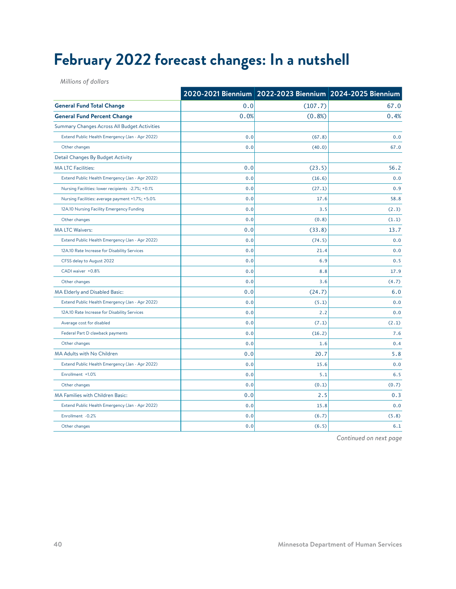# <span id="page-39-0"></span>**February 2022 forecast changes: In a nutshell**

*Millions of dollars*

|                                                   |      | 2020-2021 Biennium 2022-2023 Biennium 2024-2025 Biennium |       |
|---------------------------------------------------|------|----------------------------------------------------------|-------|
| <b>General Fund Total Change</b>                  | 0.0  | (107.7)                                                  | 67.0  |
| <b>General Fund Percent Change</b>                | 0.0% | (0.8%)                                                   | 0.4%  |
| Summary Changes Across All Budget Activities      |      |                                                          |       |
| Extend Public Health Emergency (Jan - Apr 2022)   | 0.0  | (67.8)                                                   | 0.0   |
| Other changes                                     | 0.0  | (40.0)                                                   | 67.0  |
| Detail Changes By Budget Activity                 |      |                                                          |       |
| <b>MA LTC Facilities:</b>                         | 0.0  | (23.5)                                                   | 56.2  |
| Extend Public Health Emergency (Jan - Apr 2022)   | 0.0  | (16.6)                                                   | 0.0   |
| Nursing Facilities: lower recipients -2.7%; +0.1% | 0.0  | (27.1)                                                   | 0.9   |
| Nursing Facilities: average payment +1.7%; +5.0%  | 0.0  | 17.6                                                     | 58.8  |
| 12A.10 Nursing Facility Emergency Funding         | 0.0  | 3.5                                                      | (2.3) |
| Other changes                                     | 0.0  | (0.8)                                                    | (1.1) |
| <b>MA LTC Waivers:</b>                            | 0.0  | (33.8)                                                   | 13.7  |
| Extend Public Health Emergency (Jan - Apr 2022)   | 0.0  | (74.5)                                                   | 0.0   |
| 12A.10 Rate Increase for Disability Services      | 0.0  | 21.4                                                     | 0.0   |
| CFSS delay to August 2022                         | 0.0  | 6.9                                                      | 0.5   |
| CADI waiver +0.8%                                 | 0.0  | 8.8                                                      | 17.9  |
| Other changes                                     | 0.0  | 3.6                                                      | (4.7) |
| MA Elderly and Disabled Basic:                    | 0.0  | (24.7)                                                   | 6.0   |
| Extend Public Health Emergency (Jan - Apr 2022)   | 0.0  | (5.1)                                                    | 0.0   |
| 12A.10 Rate Increase for Disability Services      | 0.0  | 2.2                                                      | 0.0   |
| Average cost for disabled                         | 0.0  | (7.1)                                                    | (2.1) |
| Federal Part D clawback payments                  | 0.0  | (16.2)                                                   | 7.6   |
| Other changes                                     | 0.0  | 1.6                                                      | 0.4   |
| MA Adults with No Children                        | 0.0  | 20.7                                                     | 5.8   |
| Extend Public Health Emergency (Jan - Apr 2022)   | 0.0  | 15.6                                                     | 0.0   |
| Enrollment +1.0%                                  | 0.0  | 5.1                                                      | 6.5   |
| Other changes                                     | 0.0  | (0.1)                                                    | (0.7) |
| <b>MA Families with Children Basic:</b>           | 0.0  | 2.5                                                      | 0.3   |
| Extend Public Health Emergency (Jan - Apr 2022)   | 0.0  | 15.8                                                     | 0.0   |
| Enrollment -0.2%                                  | 0.0  | (6.7)                                                    | (5.8) |
| Other changes                                     | 0.0  | (6.5)                                                    | 6.1   |

*Continued on next page*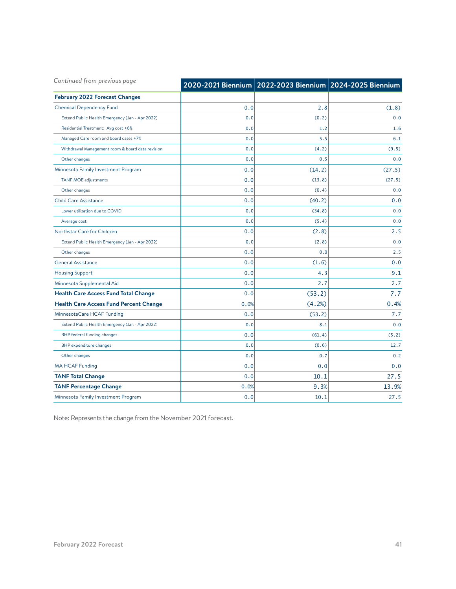| Continued from previous page                     |      | 2020-2021 Biennium 2022-2023 Biennium 2024-2025 Biennium |        |
|--------------------------------------------------|------|----------------------------------------------------------|--------|
| <b>February 2022 Forecast Changes</b>            |      |                                                          |        |
| <b>Chemical Dependency Fund</b>                  | 0.0  | 2.8                                                      | (1.8)  |
| Extend Public Health Emergency (Jan - Apr 2022)  | 0.0  | (0.2)                                                    | 0.0    |
| Residential Treatment: Avg cost +6%              | 0.0  | 1.2                                                      | 1.6    |
| Managed Care room and board cases +7%            | 0.0  | 5.5                                                      | 6.1    |
| Withdrawal Management room & board data revision | 0.0  | (4.2)                                                    | (9.5)  |
| Other changes                                    | 0.0  | 0.5                                                      | 0.0    |
| Minnesota Family Investment Program              | 0.0  | (14.2)                                                   | (27.5) |
| TANF MOE adjustments                             | 0.0  | (13.8)                                                   | (27.5) |
| Other changes                                    | 0.0  | (0.4)                                                    | 0.0    |
| <b>Child Care Assistance</b>                     | 0.0  | (40.2)                                                   | 0.0    |
| Lower utilization due to COVID                   | 0.0  | (34.8)                                                   | 0.0    |
| Average cost                                     | 0.0  | (5.4)                                                    | 0.0    |
| Northstar Care for Children                      | 0.0  | (2.8)                                                    | 2.5    |
| Extend Public Health Emergency (Jan - Apr 2022)  | 0.0  | (2.8)                                                    | 0.0    |
| Other changes                                    | 0.0  | 0.0                                                      | 2.5    |
| <b>General Assistance</b>                        | 0.0  | (1.6)                                                    | 0.0    |
| <b>Housing Support</b>                           | 0.0  | 4.3                                                      | 9.1    |
| Minnesota Supplemental Aid                       | 0.0  | 2.7                                                      | 2.7    |
| <b>Health Care Access Fund Total Change</b>      | 0.0  | (53.2)                                                   | 7.7    |
| <b>Health Care Access Fund Percent Change</b>    | 0.0% | (4.2%)                                                   | 0.4%   |
| MinnesotaCare HCAF Funding                       | 0.0  | (53.2)                                                   | 7.7    |
| Extend Public Health Emergency (Jan - Apr 2022)  | 0.0  | 8.1                                                      | 0.0    |
| <b>BHP</b> federal funding changes               | 0.0  | (61.4)                                                   | (5.2)  |
| <b>BHP</b> expenditure changes                   | 0.0  | (0.6)                                                    | 12.7   |
| Other changes                                    | 0.0  | 0.7                                                      | 0.2    |
| <b>MA HCAF Funding</b>                           | 0.0  | 0.0                                                      | 0.0    |
| <b>TANF Total Change</b>                         | 0.0  | 10.1                                                     | 27.5   |
| <b>TANF Percentage Change</b>                    | 0.0% | 9.3%                                                     | 13.9%  |
| Minnesota Family Investment Program              | 0.0  | 10.1                                                     | 27.5   |

Note: Represents the change from the November 2021 forecast.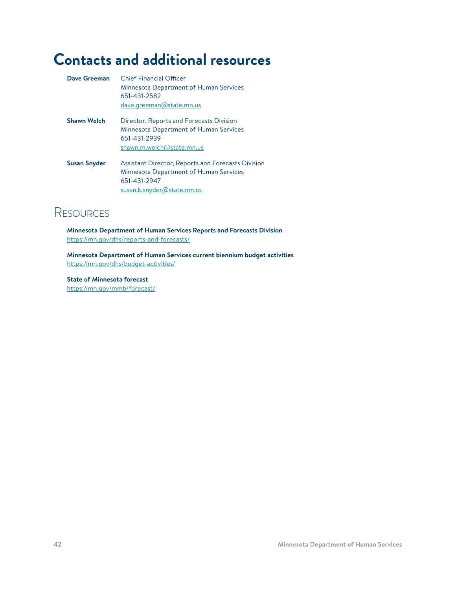# <span id="page-41-0"></span>**Contacts and additional resources**

| Dave Greeman        | <b>Chief Financial Officer</b><br>Minnesota Department of Human Services<br>651-431-2582<br>dave.greeman@state.mn.us                       |
|---------------------|--------------------------------------------------------------------------------------------------------------------------------------------|
| <b>Shawn Welch</b>  | Director, Reports and Forecasts Division<br>Minnesota Department of Human Services<br>651-431-2939<br>shawn.m.welch@state.mn.us            |
| <b>Susan Snyder</b> | Assistant Director, Reports and Forecasts Division<br>Minnesota Department of Human Services<br>651-431-2947<br>susan.k.snyder@state.mn.us |

### **RESOURCES**

**Minnesota Department of Human Services Reports and Forecasts Division** <https://mn.gov/dhs/reports-and-forecasts/>

**Minnesota Department of Human Services current biennium budget activities** <https://mn.gov/dhs/budget-activities/>

**State of Minnesota forecast** <https://mn.gov/mmb/forecast/>